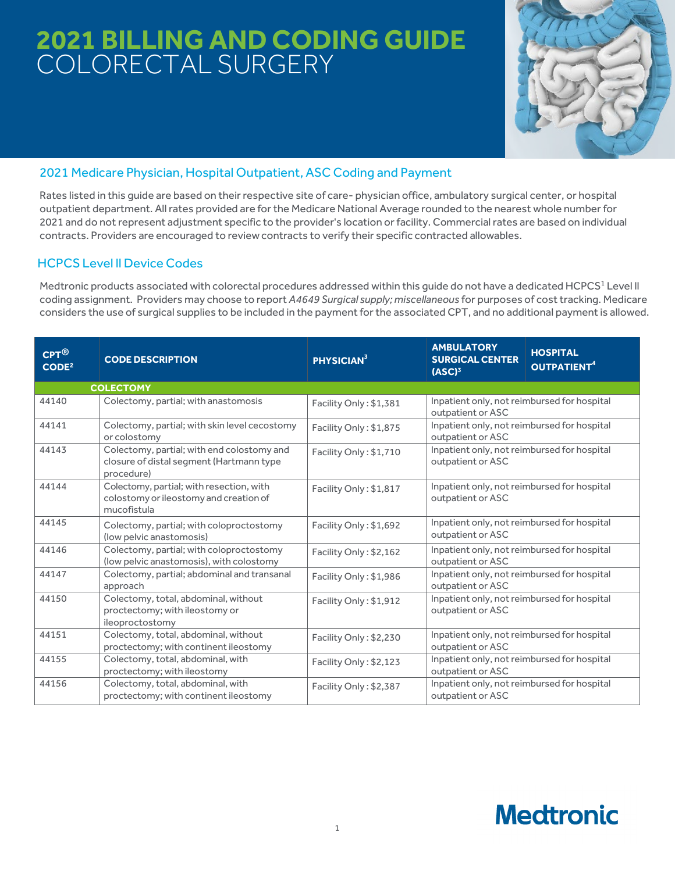# **2021 BILLING AND CODING GUIDE**  COLORECTAL SURGERY



## 2021 Medicare Physician, Hospital Outpatient, ASC Coding and Payment

Rates listed in this guide are based on their respective site of care- physician office, ambulatory surgical center, or hospital outpatient department. All rates provided are for the Medicare National Average rounded to the nearest whole number for 2021 and do not represent adjustment specific to the provider's location or facility. Commercial rates are based on individual contracts. Providers are encouraged to review contracts to verify their specific contracted allowables.

## HCPCS Level ll Device Codes

Medtronic products associated with colorectal procedures addressed within this quide do not have a dedicated HCPCS<sup>1</sup> Level II coding assignment. Providers may choose to report *A4649 Surgical supply; miscellaneous* for purposes of cost tracking. Medicare considers the use of surgical supplies to be included in the payment for the associated CPT, and no additional payment is allowed.

| $CPT^{\circledR}$<br>CODE <sup>2</sup> | <b>CODE DESCRIPTION</b>                                                                              | <b>PHYSICIAN</b> <sup>3</sup> | <b>AMBULATORY</b><br><b>SURGICAL CENTER</b><br>(ASC) <sup>3</sup> | <b>HOSPITAL</b><br><b>OUTPATIENT<sup>4</sup></b> |
|----------------------------------------|------------------------------------------------------------------------------------------------------|-------------------------------|-------------------------------------------------------------------|--------------------------------------------------|
|                                        | <b>COLECTOMY</b>                                                                                     |                               |                                                                   |                                                  |
| 44140                                  | Colectomy, partial; with anastomosis                                                                 | Facility Only: \$1,381        | Inpatient only, not reimbursed for hospital<br>outpatient or ASC  |                                                  |
| 44141                                  | Colectomy, partial; with skin level cecostomy<br>or colostomy                                        | Facility Only: \$1,875        | Inpatient only, not reimbursed for hospital<br>outpatient or ASC  |                                                  |
| 44143                                  | Colectomy, partial; with end colostomy and<br>closure of distal segment (Hartmann type<br>procedure) | Facility Only: \$1,710        | Inpatient only, not reimbursed for hospital<br>outpatient or ASC  |                                                  |
| 44144                                  | Colectomy, partial; with resection, with<br>colostomy or ileostomy and creation of<br>mucofistula    | Facility Only: \$1,817        | Inpatient only, not reimbursed for hospital<br>outpatient or ASC  |                                                  |
| 44145                                  | Colectomy, partial; with coloproctostomy<br>(low pelvic anastomosis)                                 | Facility Only: \$1,692        | Inpatient only, not reimbursed for hospital<br>outpatient or ASC  |                                                  |
| 44146                                  | Colectomy, partial; with coloproctostomy<br>(low pelvic anastomosis), with colostomy                 | Facility Only: \$2,162        | Inpatient only, not reimbursed for hospital<br>outpatient or ASC  |                                                  |
| 44147                                  | Colectomy, partial; abdominal and transanal<br>approach                                              | Facility Only: \$1,986        | Inpatient only, not reimbursed for hospital<br>outpatient or ASC  |                                                  |
| 44150                                  | Colectomy, total, abdominal, without<br>proctectomy; with ileostomy or<br>ileoproctostomy            | Facility Only: \$1,912        | Inpatient only, not reimbursed for hospital<br>outpatient or ASC  |                                                  |
| 44151                                  | Colectomy, total, abdominal, without<br>proctectomy; with continent ileostomy                        | Facility Only: \$2,230        | Inpatient only, not reimbursed for hospital<br>outpatient or ASC  |                                                  |
| 44155                                  | Colectomy, total, abdominal, with<br>proctectomy; with ileostomy                                     | Facility Only: \$2,123        | Inpatient only, not reimbursed for hospital<br>outpatient or ASC  |                                                  |
| 44156                                  | Colectomy, total, abdominal, with<br>proctectomy; with continent ileostomy                           | Facility Only: \$2,387        | Inpatient only, not reimbursed for hospital<br>outpatient or ASC  |                                                  |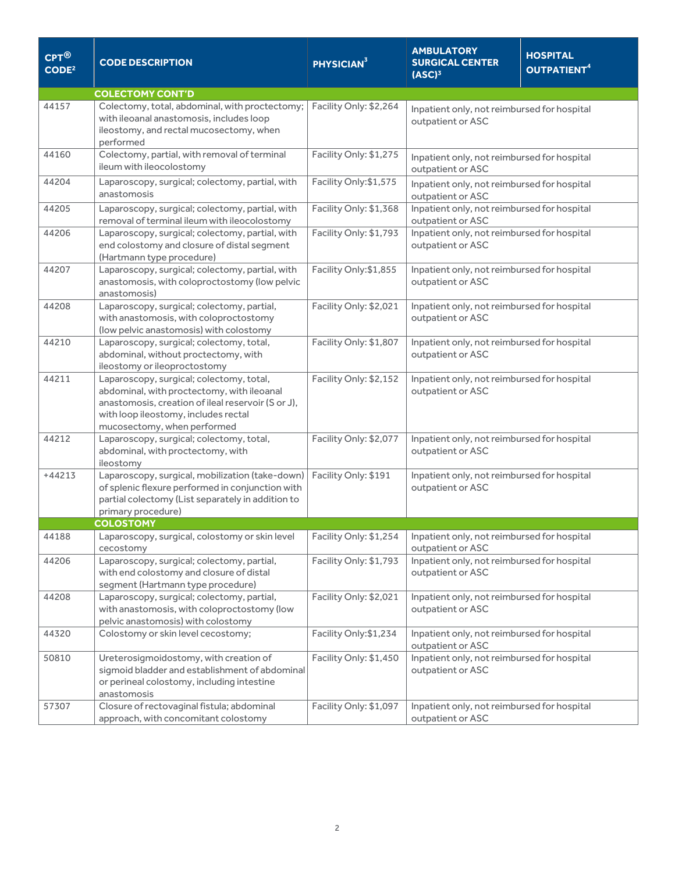| $CPT^{\circledR}$<br>CODE <sup>2</sup> | <b>CODE DESCRIPTION</b>                                                                                                                                                                                             | <b>PHYSICIAN</b> <sup>3</sup> | <b>AMBULATORY</b><br><b>SURGICAL CENTER</b><br>(ASC) <sup>3</sup> | <b>HOSPITAL</b><br>OUTPATIENT <sup>4</sup> |  |  |
|----------------------------------------|---------------------------------------------------------------------------------------------------------------------------------------------------------------------------------------------------------------------|-------------------------------|-------------------------------------------------------------------|--------------------------------------------|--|--|
| <b>COLECTOMY CONT'D</b>                |                                                                                                                                                                                                                     |                               |                                                                   |                                            |  |  |
| 44157                                  | Colectomy, total, abdominal, with proctectomy;<br>with ileoanal anastomosis, includes loop<br>ileostomy, and rectal mucosectomy, when<br>performed                                                                  | Facility Only: \$2,264        | Inpatient only, not reimbursed for hospital<br>outpatient or ASC  |                                            |  |  |
| 44160                                  | Colectomy, partial, with removal of terminal<br>ileum with ileocolostomy                                                                                                                                            | Facility Only: \$1,275        | Inpatient only, not reimbursed for hospital<br>outpatient or ASC  |                                            |  |  |
| 44204                                  | Laparoscopy, surgical; colectomy, partial, with<br>anastomosis                                                                                                                                                      | Facility Only: \$1,575        | Inpatient only, not reimbursed for hospital<br>outpatient or ASC  |                                            |  |  |
| 44205                                  | Laparoscopy, surgical; colectomy, partial, with<br>removal of terminal ileum with ileocolostomy                                                                                                                     | Facility Only: \$1,368        | Inpatient only, not reimbursed for hospital<br>outpatient or ASC  |                                            |  |  |
| 44206                                  | Laparoscopy, surgical; colectomy, partial, with<br>end colostomy and closure of distal segment<br>(Hartmann type procedure)                                                                                         | Facility Only: \$1,793        | Inpatient only, not reimbursed for hospital<br>outpatient or ASC  |                                            |  |  |
| 44207                                  | Laparoscopy, surgical; colectomy, partial, with<br>anastomosis, with coloproctostomy (low pelvic<br>anastomosis)                                                                                                    | Facility Only:\$1,855         | Inpatient only, not reimbursed for hospital<br>outpatient or ASC  |                                            |  |  |
| 44208                                  | Laparoscopy, surgical; colectomy, partial,<br>with anastomosis, with coloproctostomy<br>(low pelvic anastomosis) with colostomy                                                                                     | Facility Only: \$2,021        | Inpatient only, not reimbursed for hospital<br>outpatient or ASC  |                                            |  |  |
| 44210                                  | Laparoscopy, surgical; colectomy, total,<br>abdominal, without proctectomy, with<br>ileostomy or ileoproctostomy                                                                                                    | Facility Only: \$1,807        | Inpatient only, not reimbursed for hospital<br>outpatient or ASC  |                                            |  |  |
| 44211                                  | Laparoscopy, surgical; colectomy, total,<br>abdominal, with proctectomy, with ileoanal<br>anastomosis, creation of ileal reservoir (S or J),<br>with loop ileostomy, includes rectal<br>mucosectomy, when performed | Facility Only: \$2,152        | Inpatient only, not reimbursed for hospital<br>outpatient or ASC  |                                            |  |  |
| 44212                                  | Laparoscopy, surgical; colectomy, total,<br>abdominal, with proctectomy, with<br>ileostomy                                                                                                                          | Facility Only: \$2,077        | Inpatient only, not reimbursed for hospital<br>outpatient or ASC  |                                            |  |  |
| $+44213$                               | Laparoscopy, surgical, mobilization (take-down)<br>of splenic flexure performed in conjunction with<br>partial colectomy (List separately in addition to<br>primary procedure)                                      | Facility Only: \$191          | Inpatient only, not reimbursed for hospital<br>outpatient or ASC  |                                            |  |  |
|                                        | <b>COLOSTOMY</b>                                                                                                                                                                                                    |                               |                                                                   |                                            |  |  |
| 44188                                  | Laparoscopy, surgical, colostomy or skin level<br>cecostomy                                                                                                                                                         | Facility Only: \$1,254        | Inpatient only, not reimbursed for hospital<br>outpatient or ASC  |                                            |  |  |
| 44206                                  | Laparoscopy, surgical; colectomy, partial,<br>with end colostomy and closure of distal<br>segment (Hartmann type procedure)                                                                                         | Facility Only: \$1,793        | Inpatient only, not reimbursed for hospital<br>outpatient or ASC  |                                            |  |  |
| 44208                                  | Laparoscopy, surgical; colectomy, partial,<br>with anastomosis, with coloproctostomy (low<br>pelvic anastomosis) with colostomy                                                                                     | Facility Only: \$2,021        | Inpatient only, not reimbursed for hospital<br>outpatient or ASC  |                                            |  |  |
| 44320                                  | Colostomy or skin level cecostomy;                                                                                                                                                                                  | Facility Only: \$1,234        | Inpatient only, not reimbursed for hospital<br>outpatient or ASC  |                                            |  |  |
| 50810                                  | Ureterosigmoidostomy, with creation of<br>sigmoid bladder and establishment of abdominal<br>or perineal colostomy, including intestine<br>anastomosis                                                               | Facility Only: \$1,450        | Inpatient only, not reimbursed for hospital<br>outpatient or ASC  |                                            |  |  |
| 57307                                  | Closure of rectovaginal fistula; abdominal<br>approach, with concomitant colostomy                                                                                                                                  | Facility Only: \$1,097        | Inpatient only, not reimbursed for hospital<br>outpatient or ASC  |                                            |  |  |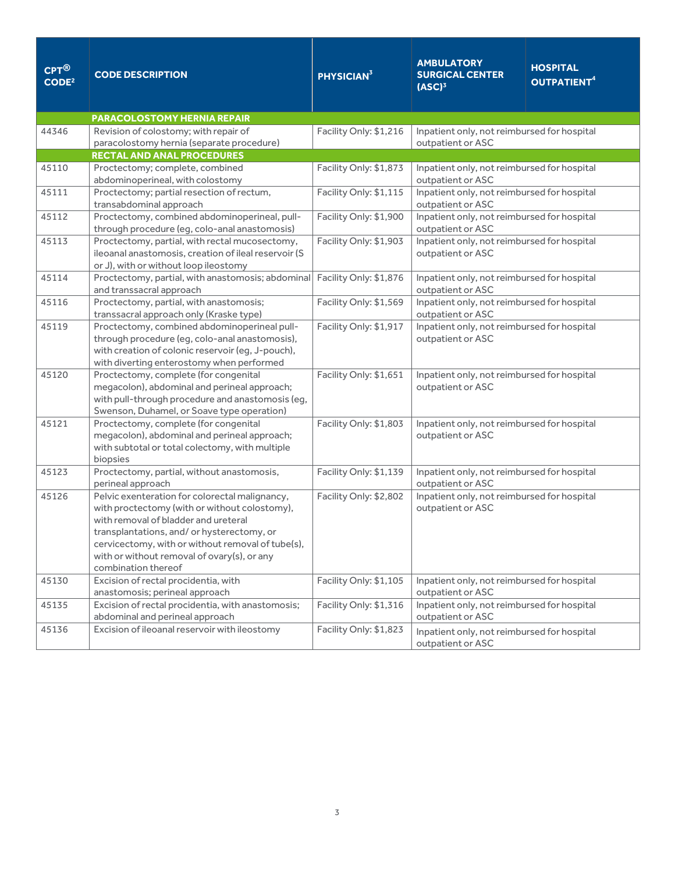| $CPT^{\circledR}$<br>CODE <sup>2</sup> | <b>CODE DESCRIPTION</b>                                                                                                                                                                                                                                                                                         | PHYSICIAN <sup>3</sup> | <b>AMBULATORY</b><br><b>SURGICAL CENTER</b><br>(ASC) <sup>3</sup> | <b>HOSPITAL</b><br>OUTPATIENT <sup>4</sup> |
|----------------------------------------|-----------------------------------------------------------------------------------------------------------------------------------------------------------------------------------------------------------------------------------------------------------------------------------------------------------------|------------------------|-------------------------------------------------------------------|--------------------------------------------|
|                                        | <b>PARACOLOSTOMY HERNIA REPAIR</b>                                                                                                                                                                                                                                                                              |                        |                                                                   |                                            |
| 44346                                  | Revision of colostomy; with repair of<br>paracolostomy hernia (separate procedure)                                                                                                                                                                                                                              | Facility Only: \$1,216 | Inpatient only, not reimbursed for hospital<br>outpatient or ASC  |                                            |
|                                        | <b>RECTAL AND ANAL PROCEDURES</b>                                                                                                                                                                                                                                                                               |                        |                                                                   |                                            |
| 45110                                  | Proctectomy; complete, combined<br>abdominoperineal, with colostomy                                                                                                                                                                                                                                             | Facility Only: \$1,873 | Inpatient only, not reimbursed for hospital<br>outpatient or ASC  |                                            |
| 45111                                  | Proctectomy; partial resection of rectum,<br>transabdominal approach                                                                                                                                                                                                                                            | Facility Only: \$1,115 | Inpatient only, not reimbursed for hospital<br>outpatient or ASC  |                                            |
| 45112                                  | Proctectomy, combined abdominoperineal, pull-<br>through procedure (eg, colo-anal anastomosis)                                                                                                                                                                                                                  | Facility Only: \$1,900 | Inpatient only, not reimbursed for hospital<br>outpatient or ASC  |                                            |
| 45113                                  | Proctectomy, partial, with rectal mucosectomy,<br>ileoanal anastomosis, creation of ileal reservoir (S<br>or J), with or without loop ileostomy                                                                                                                                                                 | Facility Only: \$1,903 | Inpatient only, not reimbursed for hospital<br>outpatient or ASC  |                                            |
| 45114                                  | Proctectomy, partial, with anastomosis; abdominal<br>and transsacral approach                                                                                                                                                                                                                                   | Facility Only: \$1,876 | Inpatient only, not reimbursed for hospital<br>outpatient or ASC  |                                            |
| 45116                                  | Proctectomy, partial, with anastomosis;<br>transsacral approach only (Kraske type)                                                                                                                                                                                                                              | Facility Only: \$1,569 | Inpatient only, not reimbursed for hospital<br>outpatient or ASC  |                                            |
| 45119                                  | Proctectomy, combined abdominoperineal pull-<br>through procedure (eg, colo-anal anastomosis),<br>with creation of colonic reservoir (eg, J-pouch),<br>with diverting enterostomy when performed                                                                                                                | Facility Only: \$1,917 | Inpatient only, not reimbursed for hospital<br>outpatient or ASC  |                                            |
| 45120                                  | Proctectomy, complete (for congenital<br>megacolon), abdominal and perineal approach;<br>with pull-through procedure and anastomosis (eg,<br>Swenson, Duhamel, or Soave type operation)                                                                                                                         | Facility Only: \$1,651 | Inpatient only, not reimbursed for hospital<br>outpatient or ASC  |                                            |
| 45121                                  | Proctectomy, complete (for congenital<br>megacolon), abdominal and perineal approach;<br>with subtotal or total colectomy, with multiple<br>biopsies                                                                                                                                                            | Facility Only: \$1,803 | Inpatient only, not reimbursed for hospital<br>outpatient or ASC  |                                            |
| 45123                                  | Proctectomy, partial, without anastomosis,<br>perineal approach                                                                                                                                                                                                                                                 | Facility Only: \$1,139 | Inpatient only, not reimbursed for hospital<br>outpatient or ASC  |                                            |
| 45126                                  | Pelvic exenteration for colorectal malignancy,<br>with proctectomy (with or without colostomy),<br>with removal of bladder and ureteral<br>transplantations, and/or hysterectomy, or<br>cervicectomy, with or without removal of tube(s),<br>with or without removal of ovary(s), or any<br>combination thereof | Facility Only: \$2,802 | Inpatient only, not reimbursed for hospital<br>outpatient or ASC  |                                            |
| 45130                                  | Excision of rectal procidentia, with<br>anastomosis; perineal approach                                                                                                                                                                                                                                          | Facility Only: \$1,105 | Inpatient only, not reimbursed for hospital<br>outpatient or ASC  |                                            |
| 45135                                  | Excision of rectal procidentia, with anastomosis;<br>abdominal and perineal approach                                                                                                                                                                                                                            | Facility Only: \$1,316 | Inpatient only, not reimbursed for hospital<br>outpatient or ASC  |                                            |
| 45136                                  | Excision of ileoanal reservoir with ileostomy                                                                                                                                                                                                                                                                   | Facility Only: \$1,823 | Inpatient only, not reimbursed for hospital<br>outpatient or ASC  |                                            |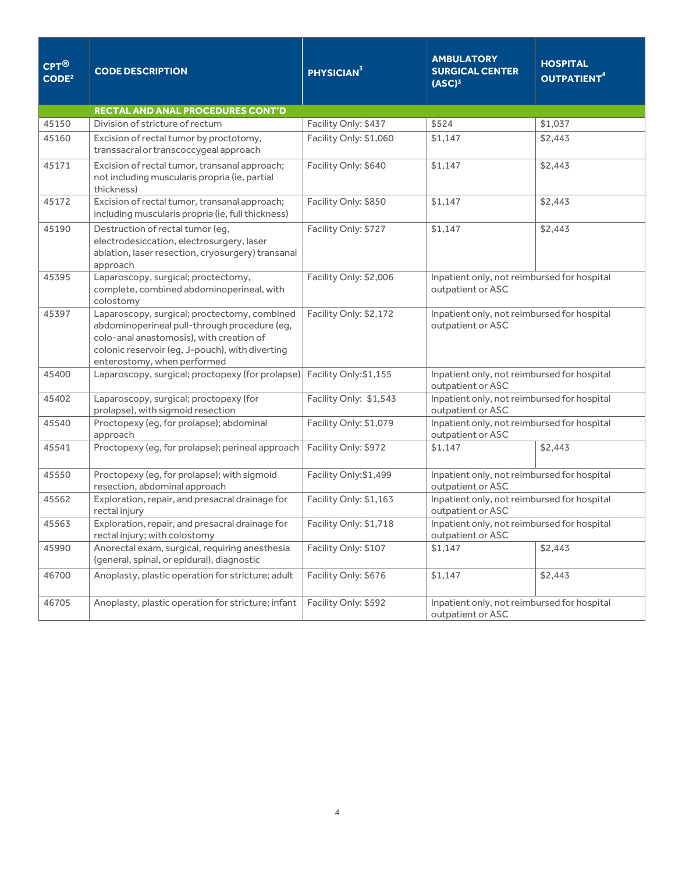| $CPT^{\circledR}$<br>CODE <sup>2</sup> | <b>CODE DESCRIPTION</b>                                                                                                                                                                                                    | PHYSICIAN <sup>3</sup> | <b>AMBULATORY</b><br><b>SURGICAL CENTER</b><br>(ASC) <sup>3</sup> | <b>HOSPITAL</b><br><b>OUTPATIENT<sup>4</sup></b> |
|----------------------------------------|----------------------------------------------------------------------------------------------------------------------------------------------------------------------------------------------------------------------------|------------------------|-------------------------------------------------------------------|--------------------------------------------------|
|                                        | RECTAL AND ANAL PROCEDURES CONT'D                                                                                                                                                                                          |                        |                                                                   |                                                  |
| 45150                                  | Division of stricture of rectum                                                                                                                                                                                            | Facility Only: \$437   | \$524                                                             | \$1,037                                          |
| 45160                                  | Excision of rectal tumor by proctotomy,<br>transsacral or transcoccygeal approach                                                                                                                                          | Facility Only: \$1,060 | \$1,147                                                           | \$2,443                                          |
| 45171                                  | Excision of rectal tumor, transanal approach;<br>not including muscularis propria (ie, partial<br>thickness)                                                                                                               | Facility Only: \$640   | \$1,147                                                           | \$2,443                                          |
| 45172                                  | Excision of rectal tumor, transanal approach;<br>including muscularis propria (ie, full thickness)                                                                                                                         | Facility Only: \$850   | \$1,147                                                           | \$2,443                                          |
| 45190                                  | Destruction of rectal tumor (eg,<br>electrodesiccation, electrosurgery, laser<br>ablation, laser resection, cryosurgery) transanal<br>approach                                                                             | Facility Only: \$727   | \$1,147                                                           | \$2,443                                          |
| 45395                                  | Laparoscopy, surgical; proctectomy,<br>complete, combined abdominoperineal, with<br>colostomy                                                                                                                              | Facility Only: \$2,006 | Inpatient only, not reimbursed for hospital<br>outpatient or ASC  |                                                  |
| 45397                                  | Laparoscopy, surgical; proctectomy, combined<br>abdominoperineal pull-through procedure (eg,<br>colo-anal anastomosis), with creation of<br>colonic reservoir (eg, J-pouch), with diverting<br>enterostomy, when performed | Facility Only: \$2,172 | Inpatient only, not reimbursed for hospital<br>outpatient or ASC  |                                                  |
| 45400                                  | Laparoscopy, surgical; proctopexy (for prolapse)                                                                                                                                                                           | Facility Only:\$1,155  | Inpatient only, not reimbursed for hospital<br>outpatient or ASC  |                                                  |
| 45402                                  | Laparoscopy, surgical; proctopexy (for<br>prolapse), with sigmoid resection                                                                                                                                                | Facility Only: \$1,543 | Inpatient only, not reimbursed for hospital<br>outpatient or ASC  |                                                  |
| 45540                                  | Proctopexy (eg, for prolapse); abdominal<br>approach                                                                                                                                                                       | Facility Only: \$1,079 | Inpatient only, not reimbursed for hospital<br>outpatient or ASC  |                                                  |
| 45541                                  | Proctopexy (eg, for prolapse); perineal approach                                                                                                                                                                           | Facility Only: \$972   | \$1,147                                                           | \$2,443                                          |
| 45550                                  | Proctopexy (eg, for prolapse); with sigmoid<br>resection, abdominal approach                                                                                                                                               | Facility Only:\$1,499  | Inpatient only, not reimbursed for hospital<br>outpatient or ASC  |                                                  |
| 45562                                  | Exploration, repair, and presacral drainage for<br>rectal injury                                                                                                                                                           | Facility Only: \$1,163 | Inpatient only, not reimbursed for hospital<br>outpatient or ASC  |                                                  |
| 45563                                  | Exploration, repair, and presacral drainage for<br>rectal injury; with colostomy                                                                                                                                           | Facility Only: \$1,718 | Inpatient only, not reimbursed for hospital<br>outpatient or ASC  |                                                  |
| 45990                                  | Anorectal exam, surgical, requiring anesthesia<br>(general, spinal, or epidural), diagnostic                                                                                                                               | Facility Only: \$107   | \$1,147                                                           | \$2,443                                          |
| 46700                                  | Anoplasty, plastic operation for stricture; adult                                                                                                                                                                          | Facility Only: \$676   | \$1,147                                                           | \$2,443                                          |
| 46705                                  | Anoplasty, plastic operation for stricture; infant                                                                                                                                                                         | Facility Only: \$592   | Inpatient only, not reimbursed for hospital<br>outpatient or ASC  |                                                  |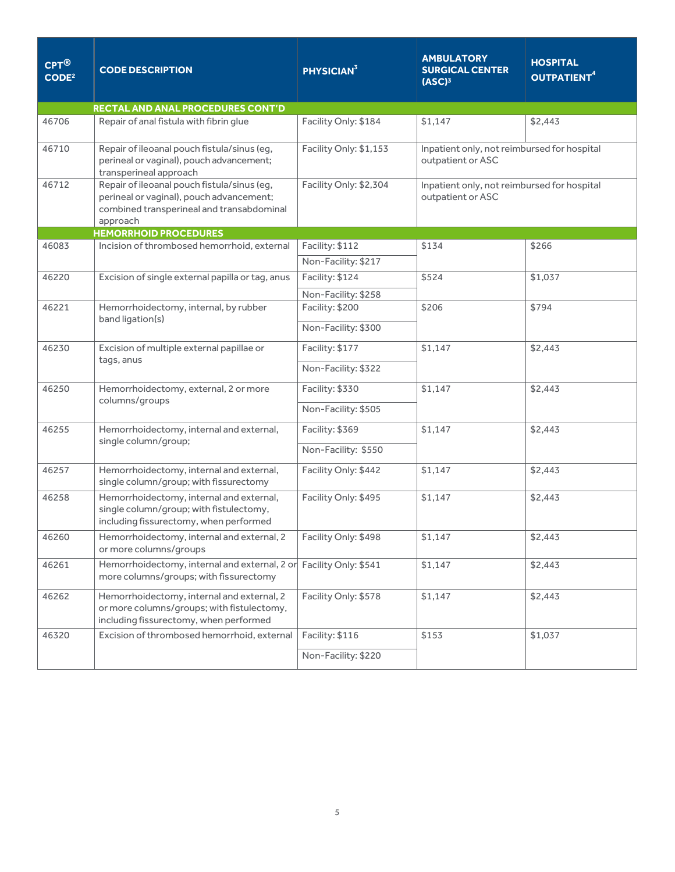| $CPT^{\circledR}$<br>CODE <sup>2</sup> | <b>CODE DESCRIPTION</b>                                                                                                                          | PHYSICIAN <sup>3</sup> | <b>AMBULATORY</b><br><b>SURGICAL CENTER</b><br>(ASC) <sup>3</sup> | <b>HOSPITAL</b><br>OUTPATIENT <sup>4</sup> |
|----------------------------------------|--------------------------------------------------------------------------------------------------------------------------------------------------|------------------------|-------------------------------------------------------------------|--------------------------------------------|
|                                        | RECTAL AND ANAL PROCEDURES CONT'D                                                                                                                |                        |                                                                   |                                            |
| 46706                                  | Repair of anal fistula with fibrin glue                                                                                                          | Facility Only: \$184   | \$1,147                                                           | \$2,443                                    |
| 46710                                  | Repair of ileoanal pouch fistula/sinus (eg,<br>perineal or vaginal), pouch advancement;<br>transperineal approach                                | Facility Only: \$1,153 | Inpatient only, not reimbursed for hospital<br>outpatient or ASC  |                                            |
| 46712                                  | Repair of ileoanal pouch fistula/sinus (eq,<br>perineal or vaginal), pouch advancement;<br>combined transperineal and transabdominal<br>approach | Facility Only: \$2,304 | Inpatient only, not reimbursed for hospital<br>outpatient or ASC  |                                            |
|                                        | <b>HEMORRHOID PROCEDURES</b>                                                                                                                     |                        |                                                                   |                                            |
| 46083                                  | Incision of thrombosed hemorrhoid, external                                                                                                      | Facility: \$112        | \$134                                                             | \$266                                      |
|                                        |                                                                                                                                                  | Non-Facility: \$217    |                                                                   |                                            |
| 46220                                  | Excision of single external papilla or tag, anus                                                                                                 | Facility: \$124        | \$524                                                             | \$1,037                                    |
|                                        |                                                                                                                                                  | Non-Facility: \$258    |                                                                   |                                            |
| 46221                                  | Hemorrhoidectomy, internal, by rubber<br>band ligation(s)                                                                                        | Facility: \$200        | \$206                                                             | \$794                                      |
|                                        |                                                                                                                                                  | Non-Facility: \$300    |                                                                   |                                            |
| 46230                                  | Excision of multiple external papillae or<br>tags, anus                                                                                          | Facility: \$177        | \$1,147                                                           | \$2,443                                    |
|                                        |                                                                                                                                                  | Non-Facility: \$322    |                                                                   |                                            |
| 46250                                  | Hemorrhoidectomy, external, 2 or more<br>columns/groups                                                                                          | Facility: \$330        | \$1,147                                                           | \$2,443                                    |
|                                        |                                                                                                                                                  | Non-Facility: \$505    |                                                                   |                                            |
| 46255                                  | Hemorrhoidectomy, internal and external,<br>single column/group;                                                                                 | Facility: \$369        | \$1,147                                                           | \$2,443                                    |
|                                        |                                                                                                                                                  | Non-Facility: \$550    |                                                                   |                                            |
| 46257                                  | Hemorrhoidectomy, internal and external,<br>single column/group; with fissurectomy                                                               | Facility Only: \$442   | \$1,147                                                           | \$2,443                                    |
| 46258                                  | Hemorrhoidectomy, internal and external,<br>single column/group; with fistulectomy,<br>including fissurectomy, when performed                    | Facility Only: \$495   | \$1,147                                                           | \$2,443                                    |
| 46260                                  | Hemorrhoidectomy, internal and external, 2<br>or more columns/groups                                                                             | Facility Only: \$498   | \$1,147                                                           | \$2,443                                    |
| 46261                                  | Hemorrhoidectomy, internal and external, 2 or<br>more columns/groups; with fissurectomy                                                          | Facility Only: \$541   | \$1,147                                                           | \$2,443                                    |
| 46262                                  | Hemorrhoidectomy, internal and external, 2<br>or more columns/groups; with fistulectomy,<br>including fissurectomy, when performed               | Facility Only: \$578   | \$1,147                                                           | \$2,443                                    |
| 46320                                  | Excision of thrombosed hemorrhoid, external                                                                                                      | Facility: \$116        | \$153                                                             | \$1,037                                    |
|                                        |                                                                                                                                                  | Non-Facility: \$220    |                                                                   |                                            |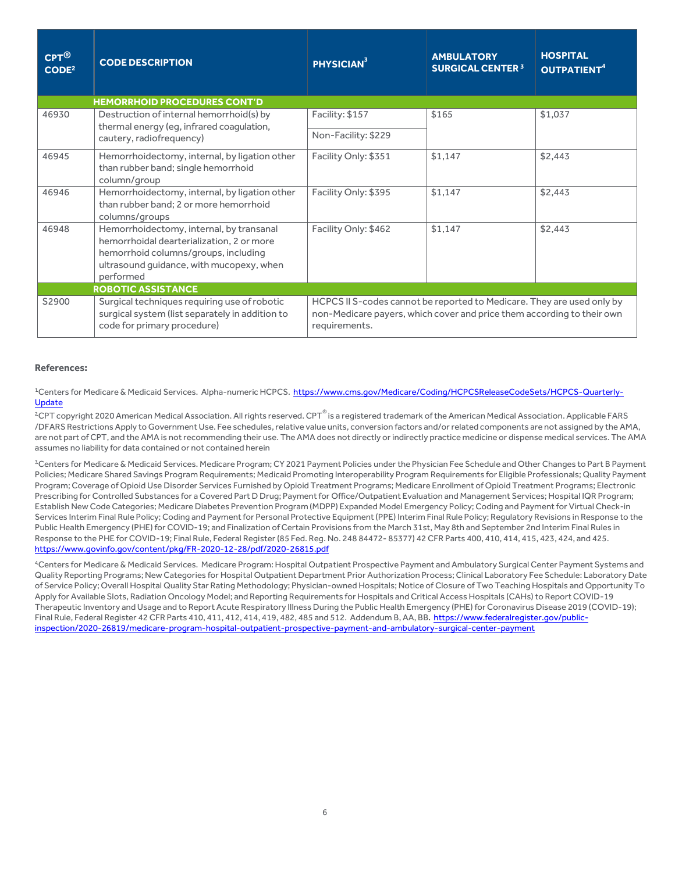| $CPT^{\circledR}$<br>CODE <sup>2</sup> | <b>CODE DESCRIPTION</b>                                                                                                                                                                | PHYSICIAN <sup>3</sup>                                                                                                                                            | <b>AMBULATORY</b><br><b>SURGICAL CENTER 3</b> | <b>HOSPITAL</b><br>OUTPATIENT <sup>4</sup> |
|----------------------------------------|----------------------------------------------------------------------------------------------------------------------------------------------------------------------------------------|-------------------------------------------------------------------------------------------------------------------------------------------------------------------|-----------------------------------------------|--------------------------------------------|
|                                        | <b>HEMORRHOID PROCEDURES CONT'D</b>                                                                                                                                                    |                                                                                                                                                                   |                                               |                                            |
| 46930                                  | Destruction of internal hemorrhoid(s) by<br>thermal energy (eg, infrared coagulation,                                                                                                  | Facility: \$157                                                                                                                                                   | \$165                                         | \$1,037                                    |
|                                        | cautery, radiofrequency)                                                                                                                                                               | Non-Facility: \$229                                                                                                                                               |                                               |                                            |
| 46945                                  | Hemorrhoidectomy, internal, by ligation other<br>than rubber band; single hemorrhoid<br>column/group                                                                                   | Facility Only: \$351                                                                                                                                              | \$1,147                                       | \$2,443                                    |
| 46946                                  | Hemorrhoidectomy, internal, by ligation other<br>than rubber band; 2 or more hemorrhoid<br>columns/groups                                                                              | Facility Only: \$395                                                                                                                                              | \$1,147                                       | \$2,443                                    |
| 46948                                  | Hemorrhoidectomy, internal, by transanal<br>hemorrhoidal dearterialization. 2 or more<br>hemorrhoid columns/groups, including<br>ultrasound guidance, with mucopexy, when<br>performed | Facility Only: \$462                                                                                                                                              | \$1,147                                       | \$2,443                                    |
|                                        | <b>ROBOTIC ASSISTANCE</b>                                                                                                                                                              |                                                                                                                                                                   |                                               |                                            |
| S2900                                  | Surgical techniques requiring use of robotic<br>surgical system (list separately in addition to<br>code for primary procedure)                                                         | HCPCS II S-codes cannot be reported to Medicare. They are used only by<br>non-Medicare payers, which cover and price them according to their own<br>requirements. |                                               |                                            |

### **References:**

<sup>1</sup>Centers for Medicare & Medicaid Services. Alpha-numeric HCPCS. [https://www.cms.gov/Medicare/Coding/HCPCSReleaseCodeSets/HCPCS-Quarterly-](https://www.cms.gov/Medicare/Coding/HCPCSReleaseCodeSets/HCPCS-Quarterly-Update)[Update](https://www.cms.gov/Medicare/Coding/HCPCSReleaseCodeSets/HCPCS-Quarterly-Update)

<sup>2</sup>CPT copyright 2020 American Medical Association. All rights reserved. CPT® is a registered trademark of the American Medical Association. Applicable FARS /DFARS Restrictions Apply to Government Use. Fee schedules, relative value units, conversion factors and/or related components are not assigned by the AMA, are not part of CPT, and the AMA is not recommending their use. The AMA does not directly or indirectly practice medicine or dispense medical services. The AMA assumes no liability for data contained or not contained herein

<sup>3</sup>Centers for Medicare & Medicaid Services. Medicare Program; CY 2021 Payment Policies under the Physician Fee Schedule and Other Changes to Part B Payment Policies; Medicare Shared Savings Program Requirements; Medicaid Promoting Interoperability Program Requirements for Eligible Professionals; Quality Payment Program; Coverage of Opioid Use Disorder Services Furnished by Opioid Treatment Programs; Medicare Enrollment of Opioid Treatment Programs; Electronic Prescribing for Controlled Substances for a Covered Part D Drug; Payment for Office/Outpatient Evaluation and Management Services; Hospital IQR Program; Establish New Code Categories; Medicare Diabetes Prevention Program (MDPP) Expanded Model Emergency Policy; Coding and Payment for Virtual Check-in Services Interim Final Rule Policy; Coding and Payment for Personal Protective Equipment (PPE) Interim Final Rule Policy; Regulatory Revisions in Response to the Public Health Emergency (PHE) for COVID-19; and Finalization of Certain Provisions from the March 31st, May 8th and September 2nd Interim Final Rules in Response to the PHE for COVID-19; Final Rule, Federal Register (85 Fed. Reg. No. 248 84472- 85377) 42 CFR Parts 400, 410, 414, 415, 423, 424, and 425. <https://www.govinfo.gov/content/pkg/FR-2020-12-28/pdf/2020-26815.pdf>

4.Centers for Medicare & Medicaid Services. Medicare Program: Hospital Outpatient Prospective Payment and Ambulatory Surgical Center Payment Systems and Quality Reporting Programs; New Categories for Hospital Outpatient Department Prior Authorization Process; Clinical Laboratory Fee Schedule: Laboratory Date of Service Policy; Overall Hospital Quality Star Rating Methodology; Physician-owned Hospitals; Notice of Closure of Two Teaching Hospitals and Opportunity To Apply for Available Slots, Radiation Oncology Model; and Reporting Requirements for Hospitals and Critical Access Hospitals (CAHs) to Report COVID-19 Therapeutic Inventory and Usage and to Report Acute Respiratory Illness During the Public Health Emergency (PHE) for Coronavirus Disease 2019 (COVID-19); Final Rule, Federal Register 42 CFR Parts 410, 411, 412, 414, 419, 482, 485 and 512. Addendum B, AA, BB. [https://www.federalregister.gov/public](https://www.federalregister.gov/public-inspection/2020-26819/medicare-program-hospital-outpatient-prospective-payment-and-ambulatory-surgical-center-payment)[inspection/2020-26819/medicare-program-hospital-outpatient-prospective-payment-and-ambulatory-surgical-center-payment](https://www.federalregister.gov/public-inspection/2020-26819/medicare-program-hospital-outpatient-prospective-payment-and-ambulatory-surgical-center-payment)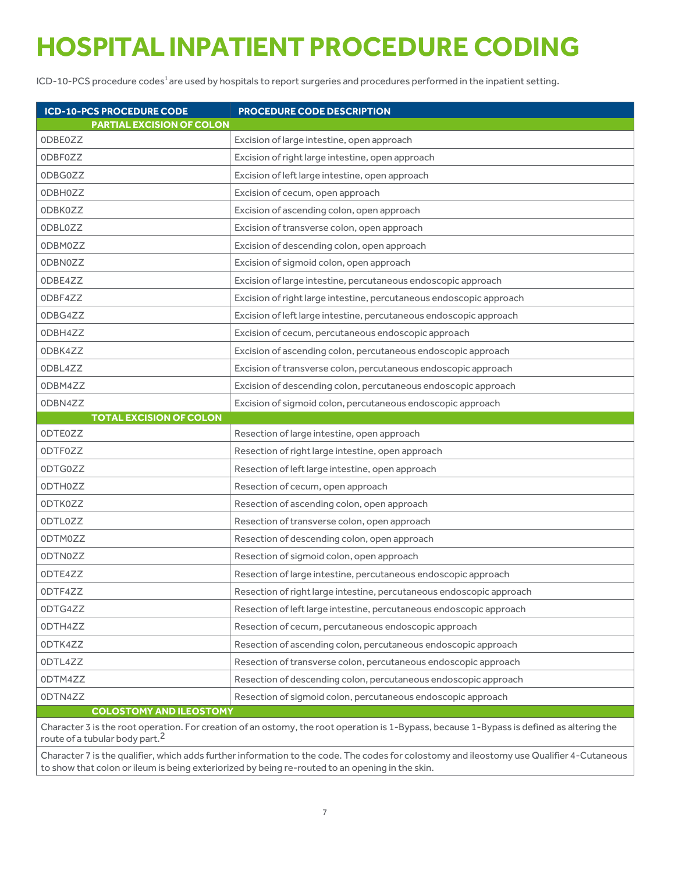# **HOSPITAL INPATIENT PROCEDURE CODING**

ICD-10-PCS procedure codes<sup>1</sup> are used by hospitals to report surgeries and procedures performed in the inpatient setting.

| <b>ICD-10-PCS PROCEDURE CODE</b> | <b>PROCEDURE CODE DESCRIPTION</b>                                    |
|----------------------------------|----------------------------------------------------------------------|
| <b>PARTIAL EXCISION OF COLON</b> |                                                                      |
| 0DBE0ZZ                          | Excision of large intestine, open approach                           |
| <b>ODBFOZZ</b>                   | Excision of right large intestine, open approach                     |
| 0DBG0ZZ                          | Excision of left large intestine, open approach                      |
| 0DBH0ZZ                          | Excision of cecum, open approach                                     |
| <b>ODBKOZZ</b>                   | Excision of ascending colon, open approach                           |
| 0DBL0ZZ                          | Excision of transverse colon, open approach                          |
| 0DBM0ZZ                          | Excision of descending colon, open approach                          |
| 0DBN0ZZ                          | Excision of sigmoid colon, open approach                             |
| 0DBE4ZZ                          | Excision of large intestine, percutaneous endoscopic approach        |
| 0DBF4ZZ                          | Excision of right large intestine, percutaneous endoscopic approach  |
| 0DBG4ZZ                          | Excision of left large intestine, percutaneous endoscopic approach   |
| 0DBH4ZZ                          | Excision of cecum, percutaneous endoscopic approach                  |
| 0DBK4ZZ                          | Excision of ascending colon, percutaneous endoscopic approach        |
| 0DBL4ZZ                          | Excision of transverse colon, percutaneous endoscopic approach       |
| 0DBM4ZZ                          | Excision of descending colon, percutaneous endoscopic approach       |
| 0DBN4ZZ                          | Excision of sigmoid colon, percutaneous endoscopic approach          |
| <b>TOTAL EXCISION OF COLON</b>   |                                                                      |
| <b>ODTEOZZ</b>                   | Resection of large intestine, open approach                          |
| 0DTF0ZZ                          | Resection of right large intestine, open approach                    |
| 0DTG0ZZ                          | Resection of left large intestine, open approach                     |
| <b>ODTHOZZ</b>                   | Resection of cecum, open approach                                    |
| 0DTK0ZZ                          | Resection of ascending colon, open approach                          |
| 0DTL0ZZ                          | Resection of transverse colon, open approach                         |
| 0DTM0ZZ                          | Resection of descending colon, open approach                         |
| 0DTN0ZZ                          | Resection of sigmoid colon, open approach                            |
| 0DTE4ZZ                          | Resection of large intestine, percutaneous endoscopic approach       |
| 0DTF4ZZ                          | Resection of right large intestine, percutaneous endoscopic approach |
| 0DTG4ZZ                          | Resection of left large intestine, percutaneous endoscopic approach  |
| 0DTH4ZZ                          | Resection of cecum, percutaneous endoscopic approach                 |
| 0DTK4ZZ                          | Resection of ascending colon, percutaneous endoscopic approach       |
| 0DTL4ZZ                          | Resection of transverse colon, percutaneous endoscopic approach      |
| 0DTM4ZZ                          | Resection of descending colon, percutaneous endoscopic approach      |
| 0DTN4ZZ                          | Resection of sigmoid colon, percutaneous endoscopic approach         |
| <b>COLOSTOMY AND ILEOSTOMY</b>   |                                                                      |

Character 3 is the root operation. For creation of an ostomy, the root operation is 1-Bypass, because 1-Bypass is defined as altering the route of a tubular body part.2

Character 7 is the qualifier, which adds further information to the code. The codes for colostomy and ileostomy use Qualifier 4-Cutaneous to show that colon or ileum is being exteriorized by being re-routed to an opening in the skin.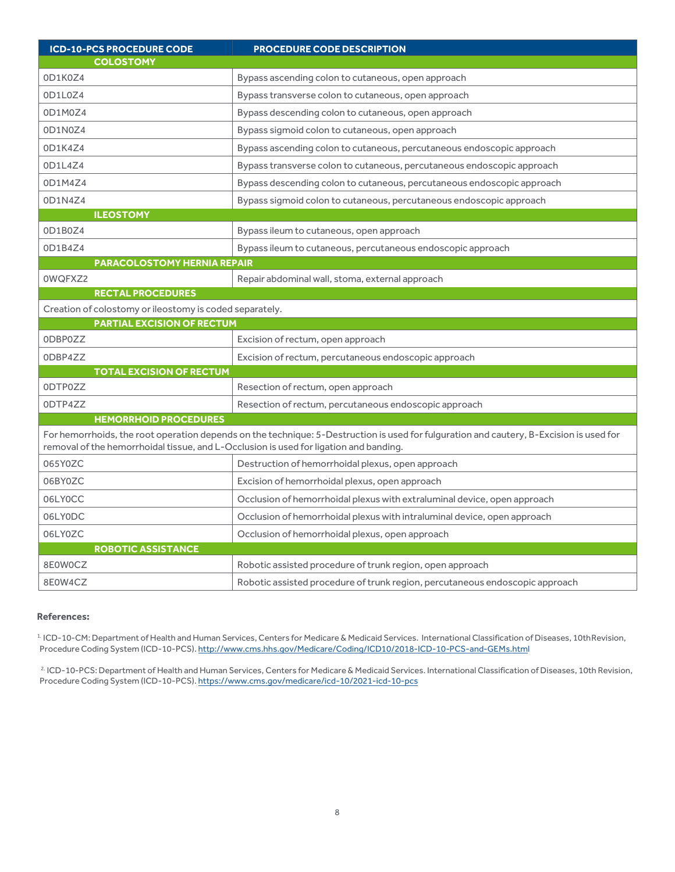| <b>ICD-10-PCS PROCEDURE CODE</b>                                                      | <b>PROCEDURE CODE DESCRIPTION</b>                                                                                                       |  |  |  |
|---------------------------------------------------------------------------------------|-----------------------------------------------------------------------------------------------------------------------------------------|--|--|--|
| <b>COLOSTOMY</b>                                                                      |                                                                                                                                         |  |  |  |
| 0D1K0Z4                                                                               | Bypass ascending colon to cutaneous, open approach                                                                                      |  |  |  |
| 0D1L0Z4                                                                               | Bypass transverse colon to cutaneous, open approach                                                                                     |  |  |  |
| 0D1M0Z4                                                                               | Bypass descending colon to cutaneous, open approach                                                                                     |  |  |  |
| 0D1N0Z4                                                                               | Bypass sigmoid colon to cutaneous, open approach                                                                                        |  |  |  |
| 0D1K4Z4                                                                               | Bypass ascending colon to cutaneous, percutaneous endoscopic approach                                                                   |  |  |  |
| 0D1L4Z4                                                                               | Bypass transverse colon to cutaneous, percutaneous endoscopic approach                                                                  |  |  |  |
| 0D1M4Z4                                                                               | Bypass descending colon to cutaneous, percutaneous endoscopic approach                                                                  |  |  |  |
| 0D1N4Z4                                                                               | Bypass sigmoid colon to cutaneous, percutaneous endoscopic approach                                                                     |  |  |  |
| <b>ILEOSTOMY</b>                                                                      |                                                                                                                                         |  |  |  |
| 0D1B0Z4                                                                               | Bypass ileum to cutaneous, open approach                                                                                                |  |  |  |
| 0D1B4Z4                                                                               | Bypass ileum to cutaneous, percutaneous endoscopic approach                                                                             |  |  |  |
| <b>PARACOLOSTOMY HERNIA REPAIR</b>                                                    |                                                                                                                                         |  |  |  |
| 0WQFXZ2                                                                               | Repair abdominal wall, stoma, external approach                                                                                         |  |  |  |
| <b>RECTAL PROCEDURES</b>                                                              |                                                                                                                                         |  |  |  |
| Creation of colostomy or ileostomy is coded separately.                               |                                                                                                                                         |  |  |  |
| <b>PARTIAL EXCISION OF RECTUM</b>                                                     |                                                                                                                                         |  |  |  |
| 0DBP0ZZ                                                                               | Excision of rectum, open approach                                                                                                       |  |  |  |
| 0DBP4ZZ                                                                               | Excision of rectum, percutaneous endoscopic approach                                                                                    |  |  |  |
| <b>TOTAL EXCISION OF RECTUM</b>                                                       |                                                                                                                                         |  |  |  |
| 0DTP0ZZ                                                                               | Resection of rectum, open approach                                                                                                      |  |  |  |
| 0DTP4ZZ                                                                               | Resection of rectum, percutaneous endoscopic approach                                                                                   |  |  |  |
| <b>HEMORRHOID PROCEDURES</b>                                                          |                                                                                                                                         |  |  |  |
| removal of the hemorrhoidal tissue, and L-Occlusion is used for ligation and banding. | For hemorrhoids, the root operation depends on the technique: 5-Destruction is used for fulguration and cautery, B-Excision is used for |  |  |  |
| 065Y0ZC                                                                               | Destruction of hemorrhoidal plexus, open approach                                                                                       |  |  |  |
| 06BY0ZC                                                                               | Excision of hemorrhoidal plexus, open approach                                                                                          |  |  |  |
| 06LY0CC                                                                               | Occlusion of hemorrhoidal plexus with extraluminal device, open approach                                                                |  |  |  |
| 06LY0DC                                                                               | Occlusion of hemorrhoidal plexus with intraluminal device, open approach                                                                |  |  |  |
| 06LY0ZC                                                                               | Occlusion of hemorrhoidal plexus, open approach                                                                                         |  |  |  |
| <b>ROBOTIC ASSISTANCE</b>                                                             |                                                                                                                                         |  |  |  |
| 8E0W0CZ                                                                               | Robotic assisted procedure of trunk region, open approach                                                                               |  |  |  |
| 8E0W4CZ                                                                               | Robotic assisted procedure of trunk region, percutaneous endoscopic approach                                                            |  |  |  |

### **References:**

<sup>1.</sup> ICD-10-CM: Department of Health and Human Services, Centers for Medicare & Medicaid Services. International Classification of Diseases, 10thRevision, Procedure Coding System (ICD-10-PCS)[. http://www.cms.hhs.gov/Medicare/Coding/ICD10/2018-ICD-10-PCS-and-GEMs.html](http://www.cms.hhs.gov/Medicare/Coding/ICD10/2018-ICD-10-PCS-and-GEMs.html)

<sup>2.</sup> ICD-10-PCS: Department of Health and Human Services, Centers for Medicare & Medicaid Services. International Classification of Diseases, 10th Revision, Procedure Coding System (ICD-10-PCS)[. https://www.cms.gov/medicare/icd-10/2021-icd-10-pcs](https://www.cms.gov/medicare/icd-10/2021-icd-10-pcs)